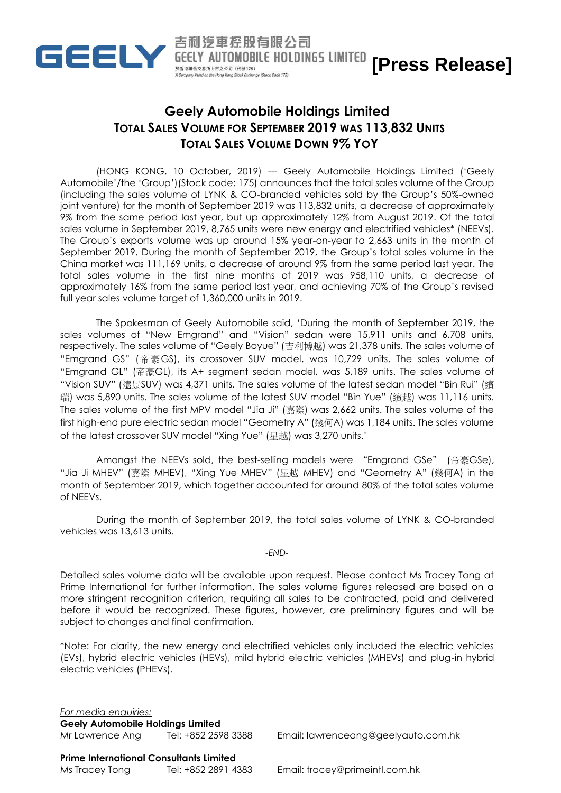

## **Geely Automobile Holdings Limited TOTAL SALES VOLUME FOR SEPTEMBER 2019 WAS 113,832 UNITS TOTAL SALES VOLUME DOWN 9% YOY**

吉利汽車控股有限公司

於香港聯合交易所上市之公司 (代號175)

**[Press Release]**

(HONG KONG, 10 October, 2019) --- Geely Automobile Holdings Limited ('Geely Automobile'/the 'Group')(Stock code: 175) announces that the total sales volume of the Group (including the sales volume of LYNK & CO-branded vehicles sold by the Group's 50%-owned joint venture) for the month of September 2019 was 113,832 units, a decrease of approximately 9% from the same period last year, but up approximately 12% from August 2019. Of the total sales volume in September 2019, 8,765 units were new energy and electrified vehicles\* (NEEVs). The Group's exports volume was up around 15% year-on-year to 2,663 units in the month of September 2019. During the month of September 2019, the Group's total sales volume in the China market was 111,169 units, a decrease of around 9% from the same period last year. The total sales volume in the first nine months of 2019 was 958,110 units, a decrease of approximately 16% from the same period last year, and achieving 70% of the Group's revised full year sales volume target of 1,360,000 units in 2019.

The Spokesman of Geely Automobile said, 'During the month of September 2019, the sales volumes of "New Emgrand" and "Vision" sedan were 15,911 units and 6,708 units, respectively. The sales volume of "Geely Boyue" (吉利博越) was 21,378 units. The sales volume of "Emgrand GS" (帝豪GS), its crossover SUV model, was 10,729 units. The sales volume of "Emgrand GL" (帝豪GL), its A+ segment sedan model, was 5,189 units. The sales volume of "Vision SUV" (遠景SUV) was 4,371 units. The sales volume of the latest sedan model "Bin Rui" (繽 瑞) was 5,890 units. The sales volume of the latest SUV model "Bin Yue" (繽越) was 11,116 units. The sales volume of the first MPV model "Jia Ji" (嘉際) was 2,662 units. The sales volume of the first high-end pure electric sedan model "Geometry A" (幾何A) was 1,184 units. The sales volume of the latest crossover SUV model "Xing Yue" (星越) was 3,270 units.'

Amongst the NEEVs sold, the best-selling models were "Emgrand GSe" (帝豪GSe), "Jia Ji MHEV" (嘉際 MHEV), "Xing Yue MHEV" (星越 MHEV) and "Geometry A" (幾何A) in the month of September 2019, which together accounted for around 80% of the total sales volume of NEEVs.

During the month of September 2019, the total sales volume of LYNK & CO-branded vehicles was 13,613 units.

## *-END-*

Detailed sales volume data will be available upon request. Please contact Ms Tracey Tong at Prime International for further information. The sales volume figures released are based on a more stringent recognition criterion, requiring all sales to be contracted, paid and delivered before it would be recognized. These figures, however, are preliminary figures and will be subject to changes and final confirmation.

\*Note: For clarity, the new energy and electrified vehicles only included the electric vehicles (EVs), hybrid electric vehicles (HEVs), mild hybrid electric vehicles (MHEVs) and plug-in hybrid electric vehicles (PHEVs).

*For media enquiries:* **Geely Automobile Holdings Limited**

Mr Lawrence Ang Tel: +852 2598 3388 Email: [lawrenceang@geelyauto.com.hk](mailto:lawrenceang@geelyauto.com.hk)

## **Prime International Consultants Limited**

Ms Tracey Tong Tel: +852 2891 4383 Email: [tracey@primeintl.com.hk](mailto:tracey@primeintl.com.hk)